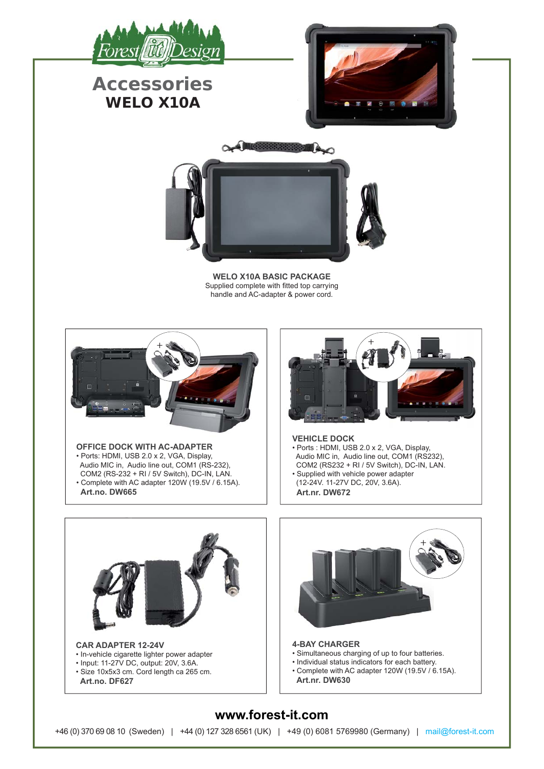

## **Accessories WELO X10A**





**WELO X10A BASIC PACKAGE** Supplied complete with fitted top carrying handle and AC-adapter & power cord.



## **OFFICE DOCK WITH AC-ADAPTER** • Ports: HDMI, USB 2.0 x 2, VGA, Display, Audio MIC in, Audio line out, COM1 (RS-232), COM2 (RS-232 + RI / 5V Switch), DC-IN, LAN. • Complete with AC adapter 120W (19.5V / 6.15A).  **Art.no. DW665**



## **VEHICLE DOCK**

- Ports : HDMI, USB 2.0 x 2, VGA, Display, Audio MIC in, Audio line out, COM1 (RS232). COM2 (RS232 + RI / 5V Switch), DC-IN, LAN. • Supplied with vehicle power adapter
- (12-24V. 11-27V DC, 20V, 3.6A).  **Art.nr. DW672**



## **www.forest-it.com**

+46 (0) 370 69 08 10 (Sweden) | +44 (0) 127 328 6561 (UK) | +49 (0) 6081 5769980 (Germany) | mail@forest-it.com